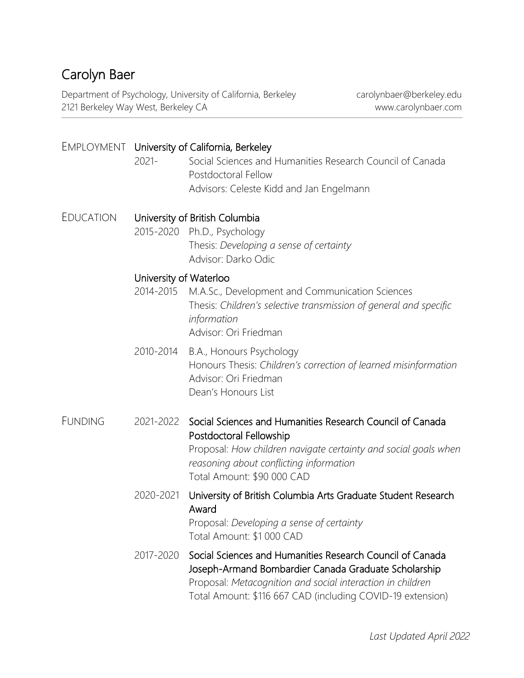# Carolyn Baer

Department of Psychology, University of California, Berkeley carolynbaer@berkeley.edu 2121 Berkeley Way West, Berkeley CA www.carolynbaer.com

|                  | EMPLOYMENT University of California, Berkeley |                                                                                                                                                                                                                                               |  |
|------------------|-----------------------------------------------|-----------------------------------------------------------------------------------------------------------------------------------------------------------------------------------------------------------------------------------------------|--|
|                  | $2021 -$                                      | Social Sciences and Humanities Research Council of Canada<br>Postdoctoral Fellow                                                                                                                                                              |  |
|                  |                                               | Advisors: Celeste Kidd and Jan Engelmann                                                                                                                                                                                                      |  |
| <b>EDUCATION</b> | University of British Columbia                |                                                                                                                                                                                                                                               |  |
|                  |                                               | 2015-2020 Ph.D., Psychology<br>Thesis: Developing a sense of certainty<br>Advisor: Darko Odic                                                                                                                                                 |  |
|                  | University of Waterloo                        |                                                                                                                                                                                                                                               |  |
|                  | 2014-2015                                     | M.A.Sc., Development and Communication Sciences<br>Thesis: Children's selective transmission of general and specific<br>information<br>Advisor: Ori Friedman                                                                                  |  |
|                  | 2010-2014                                     | B.A., Honours Psychology<br>Honours Thesis: Children's correction of learned misinformation<br>Advisor: Ori Friedman<br>Dean's Honours List                                                                                                   |  |
| <b>FUNDING</b>   |                                               | 2021-2022 Social Sciences and Humanities Research Council of Canada<br>Postdoctoral Fellowship<br>Proposal: How children navigate certainty and social goals when<br>reasoning about conflicting information<br>Total Amount: \$90 000 CAD    |  |
|                  | 2020-2021                                     | University of British Columbia Arts Graduate Student Research<br>Award<br>Proposal: Developing a sense of certainty<br>Total Amount: \$1 000 CAD                                                                                              |  |
|                  | 2017-2020                                     | Social Sciences and Humanities Research Council of Canada<br>Joseph-Armand Bombardier Canada Graduate Scholarship<br>Proposal: Metacognition and social interaction in children<br>Total Amount: \$116 667 CAD (including COVID-19 extension) |  |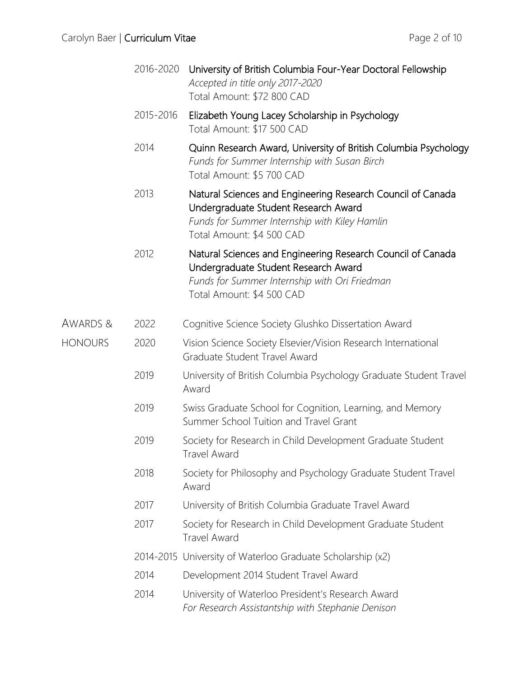|                | 2016-2020 | University of British Columbia Four-Year Doctoral Fellowship<br>Accepted in title only 2017-2020<br>Total Amount: \$72 800 CAD                                                    |
|----------------|-----------|-----------------------------------------------------------------------------------------------------------------------------------------------------------------------------------|
|                | 2015-2016 | Elizabeth Young Lacey Scholarship in Psychology<br>Total Amount: \$17 500 CAD                                                                                                     |
|                | 2014      | Quinn Research Award, University of British Columbia Psychology<br>Funds for Summer Internship with Susan Birch<br>Total Amount: \$5 700 CAD                                      |
|                | 2013      | Natural Sciences and Engineering Research Council of Canada<br>Undergraduate Student Research Award<br>Funds for Summer Internship with Kiley Hamlin<br>Total Amount: \$4 500 CAD |
|                | 2012      | Natural Sciences and Engineering Research Council of Canada<br>Undergraduate Student Research Award<br>Funds for Summer Internship with Ori Friedman<br>Total Amount: \$4 500 CAD |
| AWARDS &       | 2022      | Cognitive Science Society Glushko Dissertation Award                                                                                                                              |
| <b>HONOURS</b> | 2020      | Vision Science Society Elsevier/Vision Research International<br>Graduate Student Travel Award                                                                                    |
|                | 2019      | University of British Columbia Psychology Graduate Student Travel<br>Award                                                                                                        |
|                | 2019      | Swiss Graduate School for Cognition, Learning, and Memory<br>Summer School Tuition and Travel Grant                                                                               |
|                | 2019      | Society for Research in Child Development Graduate Student<br><b>Travel Award</b>                                                                                                 |
|                | 2018      | Society for Philosophy and Psychology Graduate Student Travel<br>Award                                                                                                            |
|                | 2017      | University of British Columbia Graduate Travel Award                                                                                                                              |
|                | 2017      | Society for Research in Child Development Graduate Student<br><b>Travel Award</b>                                                                                                 |
|                |           | 2014-2015 University of Waterloo Graduate Scholarship (x2)                                                                                                                        |
|                | 2014      | Development 2014 Student Travel Award                                                                                                                                             |
|                | 2014      | University of Waterloo President's Research Award<br>For Research Assistantship with Stephanie Denison                                                                            |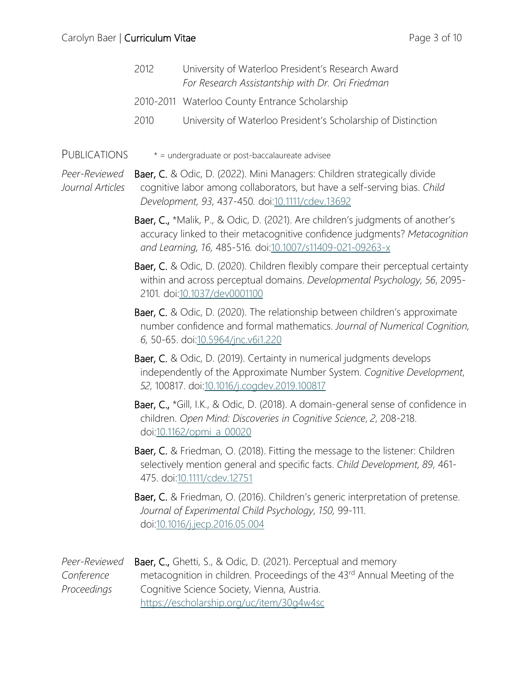| 2012 | University of Waterloo President's Research Award<br>For Research Assistantship with Dr. Ori Friedman |
|------|-------------------------------------------------------------------------------------------------------|
|      | 2010-2011 Waterloo County Entrance Scholarship                                                        |

- 2010 University of Waterloo President's Scholarship of Distinction
- PUBLICATIONS \* = undergraduate or post-baccalaureate advisee

*Peer-Reviewed* Baer, C. & Odic, D. (2022). Mini Managers: Children strategically divide *Journal Articles* cognitive labor among collaborators, but have a self-serving bias. *Child Development, 93,* 437-450*.* doi[:10.1111/cdev.13692](https://doi.org/10.1111/cdev.13692)

> Baer, C., \*Malik, P., & Odic, D. (2021). Are children's judgments of another's accuracy linked to their metacognitive confidence judgments? *Metacognition and Learning, 16,* 485-516*.* doi[:10.1007/s11409-021-09263-x](http://doi.org/10.1007/s11409-021-09263-x)

> Baer, C. & Odic, D. (2020). Children flexibly compare their perceptual certainty within and across perceptual domains. *Developmental Psychology, 56*, 2095- 2101*.* do[i:10.1037/dev0001100](http://www.doi.org/10.1037/dev0001100)

> Baer, C. & Odic, D. (2020). The relationship between children's approximate number confidence and formal mathematics. *Journal of Numerical Cognition, 6,* 50-65. doi[:10.5964/jnc.v6i1.220](http://www.doi.org/10.5964/jnc.v6i1.220)

Baer, C. & Odic, D. (2019). Certainty in numerical judgments develops independently of the Approximate Number System. *Cognitive Development, 52*, 100817. doi[:10.1016/j.cogdev.2019.100817](http://www.doi.org/10.1016/j.cogdev.2019.100817)

Baer, C., \*Gill, I.K., & Odic, D. (2018). A domain-general sense of confidence in children. *Open Mind: Discoveries in Cognitive Science*, *2*, 208-218. do[i:10.1162/opmi\\_a\\_00020](http://www.doi.org/10.1162/opmi_a_00020)

Baer, C. & Friedman, O. (2018). Fitting the message to the listener: Children selectively mention general and specific facts. *Child Development, 89*, 461- 475. doi[:10.1111/cdev.12751](http://doi.org/10.1111/cdev.12751)

Baer, C. & Friedman, O. (2016). Children's generic interpretation of pretense. *Journal of Experimental Child Psychology*, *150,* 99-111. do[i:10.1016/j.jecp.2016.05.004](http://www.doi.org/10.1016/j.jecp.2016.05.004)

| Peer-Reviewed | <b>Baer, C., Ghetti, S., &amp; Odic, D. (2021). Perceptual and memory</b>            |
|---------------|--------------------------------------------------------------------------------------|
| Conference    | metacognition in children. Proceedings of the 43 <sup>rd</sup> Annual Meeting of the |
| Proceedings   | Cognitive Science Society, Vienna, Austria.                                          |
|               | https://escholarship.org/uc/item/30g4w4sc                                            |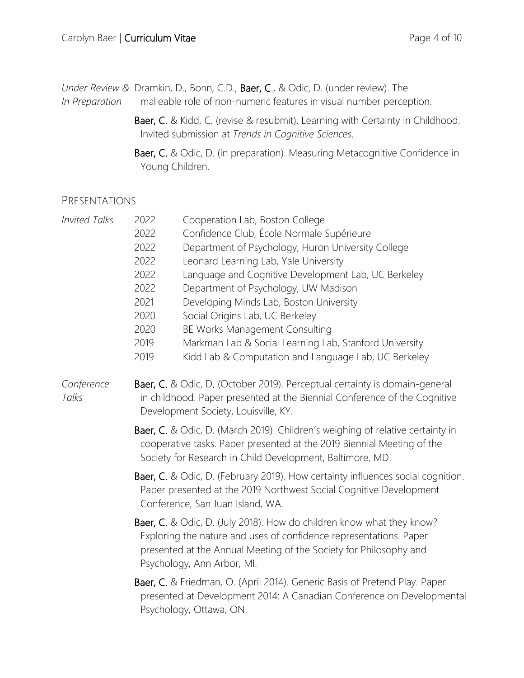| Under Review & Dramkin, D., Bonn, C.D., Baer, C., & Odic, D. (under review). The |  |
|----------------------------------------------------------------------------------|--|
|----------------------------------------------------------------------------------|--|

- *In Preparation* malleable role of non-numeric features in visual number perception.
	- Baer, C. & Kidd, C. (revise & resubmit). Learning with Certainty in Childhood. Invited submission at *Trends in Cognitive Sciences*.
	- Baer, C. & Odic, D. (in preparation). Measuring Metacognitive Confidence in Young Children.

#### PRESENTATIONS

| <b>Invited Talks</b> | Cooperation Lab, Boston College<br>2022<br>Confidence Club, École Normale Supérieure<br>2022<br>Department of Psychology, Huron University College<br>2022<br>Leonard Learning Lab, Yale University<br>2022<br>2022<br>Language and Cognitive Development Lab, UC Berkeley<br>2022<br>Department of Psychology, UW Madison<br>2021<br>Developing Minds Lab, Boston University<br>Social Origins Lab, UC Berkeley<br>2020<br>BE Works Management Consulting<br>2020<br>Markman Lab & Social Learning Lab, Stanford University<br>2019<br>Kidd Lab & Computation and Language Lab, UC Berkeley<br>2019 |  |  |
|----------------------|------------------------------------------------------------------------------------------------------------------------------------------------------------------------------------------------------------------------------------------------------------------------------------------------------------------------------------------------------------------------------------------------------------------------------------------------------------------------------------------------------------------------------------------------------------------------------------------------------|--|--|
| Conference<br>Talks  | Baer, C. & Odic, D. (October 2019). Perceptual certainty is domain-general<br>in childhood. Paper presented at the Biennial Conference of the Cognitive<br>Development Society, Louisville, KY.                                                                                                                                                                                                                                                                                                                                                                                                      |  |  |
|                      | Baer, C. & Odic, D. (March 2019). Children's weighing of relative certainty in<br>cooperative tasks. Paper presented at the 2019 Biennial Meeting of the<br>Society for Research in Child Development, Baltimore, MD.                                                                                                                                                                                                                                                                                                                                                                                |  |  |
|                      | Baer, C. & Odic, D. (February 2019). How certainty influences social cognition.<br>Paper presented at the 2019 Northwest Social Cognitive Development<br>Conference, San Juan Island, WA.                                                                                                                                                                                                                                                                                                                                                                                                            |  |  |
|                      | Baer, C. & Odic, D. (July 2018). How do children know what they know?<br>Exploring the nature and uses of confidence representations. Paper<br>presented at the Annual Meeting of the Society for Philosophy and<br>Psychology, Ann Arbor, MI.                                                                                                                                                                                                                                                                                                                                                       |  |  |
|                      | Baer, C. & Friedman, O. (April 2014). Generic Basis of Pretend Play. Paper<br>presented at Development 2014: A Canadian Conference on Developmental<br>Psychology, Ottawa, ON.                                                                                                                                                                                                                                                                                                                                                                                                                       |  |  |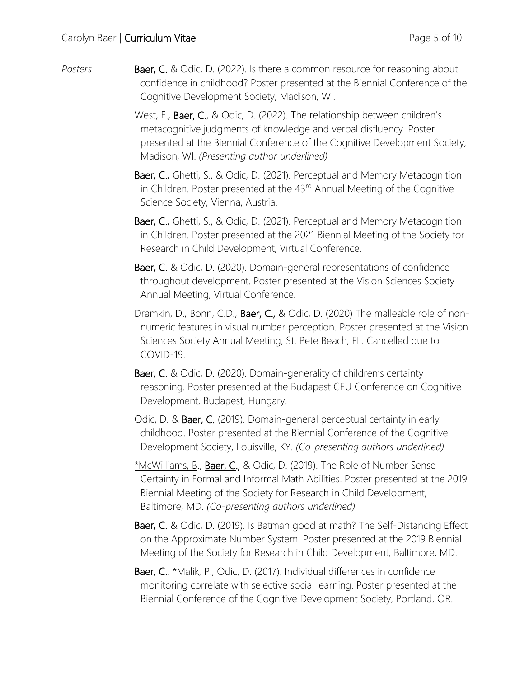*Posters* **Baer, C.** & Odic, D. (2022). Is there a common resource for reasoning about confidence in childhood? Poster presented at the Biennial Conference of the Cognitive Development Society, Madison, WI.

> West, E., Baer, C., & Odic, D. (2022). The relationship between children's metacognitive judgments of knowledge and verbal disfluency. Poster presented at the Biennial Conference of the Cognitive Development Society, Madison, WI. *(Presenting author underlined)*

 Baer, C., Ghetti, S., & Odic, D. (2021). Perceptual and Memory Metacognition in Children. Poster presented at the 43<sup>rd</sup> Annual Meeting of the Cognitive Science Society, Vienna, Austria.

 Baer, C., Ghetti, S., & Odic, D. (2021). Perceptual and Memory Metacognition in Children. Poster presented at the 2021 Biennial Meeting of the Society for Research in Child Development, Virtual Conference.

- Baer, C. & Odic, D. (2020). Domain-general representations of confidence throughout development. Poster presented at the Vision Sciences Society Annual Meeting, Virtual Conference.
- Dramkin, D., Bonn, C.D., Baer, C., & Odic, D. (2020) The malleable role of nonnumeric features in visual number perception. Poster presented at the Vision Sciences Society Annual Meeting, St. Pete Beach, FL. Cancelled due to COVID-19.
- Baer, C. & Odic, D. (2020). Domain-generality of children's certainty reasoning. Poster presented at the Budapest CEU Conference on Cognitive Development, Budapest, Hungary.
- Odic, D. & Baer, C. (2019). Domain-general perceptual certainty in early childhood. Poster presented at the Biennial Conference of the Cognitive Development Society, Louisville, KY. *(Co-presenting authors underlined)*
- \*McWilliams, B., Baer, C., & Odic, D. (2019). The Role of Number Sense Certainty in Formal and Informal Math Abilities. Poster presented at the 2019 Biennial Meeting of the Society for Research in Child Development, Baltimore, MD. *(Co-presenting authors underlined)*
- Baer, C. & Odic, D. (2019). Is Batman good at math? The Self-Distancing Effect on the Approximate Number System. Poster presented at the 2019 Biennial Meeting of the Society for Research in Child Development, Baltimore, MD.
- Baer, C., \*Malik, P., Odic, D. (2017). Individual differences in confidence monitoring correlate with selective social learning. Poster presented at the Biennial Conference of the Cognitive Development Society, Portland, OR.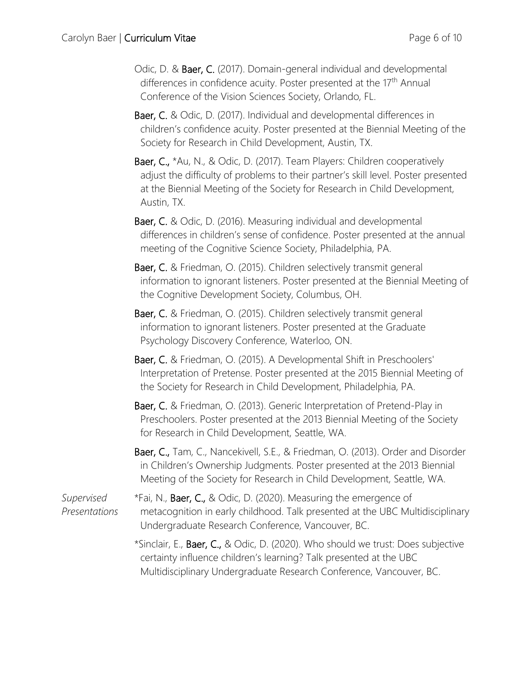- Odic, D. & Baer, C. (2017). Domain-general individual and developmental differences in confidence acuity. Poster presented at the 17<sup>th</sup> Annual Conference of the Vision Sciences Society, Orlando, FL.
- Baer, C. & Odic, D. (2017). Individual and developmental differences in children's confidence acuity. Poster presented at the Biennial Meeting of the Society for Research in Child Development, Austin, TX.
- Baer, C., \*Au, N., & Odic, D. (2017). Team Players: Children cooperatively adjust the difficulty of problems to their partner's skill level. Poster presented at the Biennial Meeting of the Society for Research in Child Development, Austin, TX.
- Baer, C. & Odic, D. (2016). Measuring individual and developmental differences in children's sense of confidence. Poster presented at the annual meeting of the Cognitive Science Society, Philadelphia, PA.
- Baer, C. & Friedman, O. (2015). Children selectively transmit general information to ignorant listeners. Poster presented at the Biennial Meeting of the Cognitive Development Society, Columbus, OH.
- Baer, C. & Friedman, O. (2015). Children selectively transmit general information to ignorant listeners. Poster presented at the Graduate Psychology Discovery Conference, Waterloo, ON.
- Baer, C. & Friedman, O. (2015). A Developmental Shift in Preschoolers' Interpretation of Pretense. Poster presented at the 2015 Biennial Meeting of the Society for Research in Child Development, Philadelphia, PA.
- Baer, C. & Friedman, O. (2013). Generic Interpretation of Pretend-Play in Preschoolers. Poster presented at the 2013 Biennial Meeting of the Society for Research in Child Development, Seattle, WA.
- Baer, C., Tam, C., Nancekivell, S.E., & Friedman, O. (2013). Order and Disorder in Children's Ownership Judgments. Poster presented at the 2013 Biennial Meeting of the Society for Research in Child Development, Seattle, WA.
- *Supervised* \*Fai, N., Baer, C., & Odic, D. (2020). Measuring the emergence of *Presentations* metacognition in early childhood. Talk presented at the UBC Multidisciplinary Undergraduate Research Conference, Vancouver, BC.
	- \*Sinclair, E., Baer, C., & Odic, D. (2020). Who should we trust: Does subjective certainty influence children's learning? Talk presented at the UBC Multidisciplinary Undergraduate Research Conference, Vancouver, BC.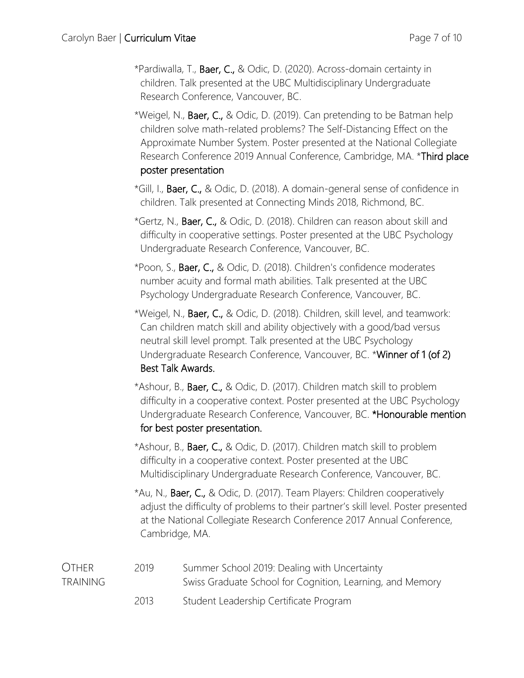- \*Pardiwalla, T., Baer, C., & Odic, D. (2020). Across-domain certainty in children. Talk presented at the UBC Multidisciplinary Undergraduate Research Conference, Vancouver, BC.
- \*Weigel, N., Baer, C., & Odic, D. (2019). Can pretending to be Batman help children solve math-related problems? The Self-Distancing Effect on the Approximate Number System. Poster presented at the National Collegiate Research Conference 2019 Annual Conference, Cambridge, MA. \*Third place poster presentation
- \*Gill, I., Baer, C., & Odic, D. (2018). A domain-general sense of confidence in children. Talk presented at Connecting Minds 2018, Richmond, BC.
- \*Gertz, N., Baer, C., & Odic, D. (2018). Children can reason about skill and difficulty in cooperative settings. Poster presented at the UBC Psychology Undergraduate Research Conference, Vancouver, BC.
- \*Poon, S., Baer, C., & Odic, D. (2018). Children's confidence moderates number acuity and formal math abilities. Talk presented at the UBC Psychology Undergraduate Research Conference, Vancouver, BC.
- \*Weigel, N., Baer, C., & Odic, D. (2018). Children, skill level, and teamwork: Can children match skill and ability objectively with a good/bad versus neutral skill level prompt. Talk presented at the UBC Psychology Undergraduate Research Conference, Vancouver, BC. \*Winner of 1 (of 2) Best Talk Awards.
- \*Ashour, B., Baer, C., & Odic, D. (2017). Children match skill to problem difficulty in a cooperative context. Poster presented at the UBC Psychology Undergraduate Research Conference, Vancouver, BC. \*Honourable mention for best poster presentation.
- \*Ashour, B., Baer, C., & Odic, D. (2017). Children match skill to problem difficulty in a cooperative context. Poster presented at the UBC Multidisciplinary Undergraduate Research Conference, Vancouver, BC.
- \*Au, N., Baer, C., & Odic, D. (2017). Team Players: Children cooperatively adjust the difficulty of problems to their partner's skill level. Poster presented at the National Collegiate Research Conference 2017 Annual Conference, Cambridge, MA.

| <b>OTHER</b>    | 2019 | Summer School 2019: Dealing with Uncertainty              |
|-----------------|------|-----------------------------------------------------------|
| <b>TRAINING</b> |      | Swiss Graduate School for Cognition, Learning, and Memory |
|                 | 2013 | Student Leadership Certificate Program                    |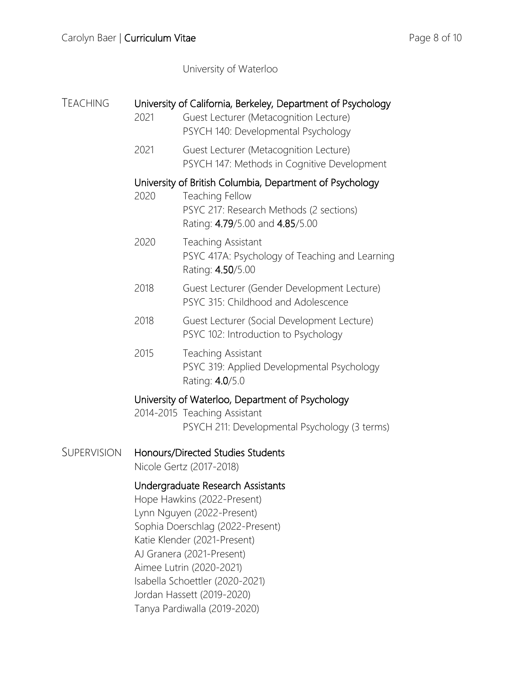University of Waterloo

| <b>TEACHING</b> | 2021                                                                                                                                                                                                                                                                                                                         | University of California, Berkeley, Department of Psychology<br>Guest Lecturer (Metacognition Lecture)<br>PSYCH 140: Developmental Psychology             |
|-----------------|------------------------------------------------------------------------------------------------------------------------------------------------------------------------------------------------------------------------------------------------------------------------------------------------------------------------------|-----------------------------------------------------------------------------------------------------------------------------------------------------------|
|                 | 2021                                                                                                                                                                                                                                                                                                                         | Guest Lecturer (Metacognition Lecture)<br>PSYCH 147: Methods in Cognitive Development                                                                     |
|                 | 2020                                                                                                                                                                                                                                                                                                                         | University of British Columbia, Department of Psychology<br>Teaching Fellow<br>PSYC 217: Research Methods (2 sections)<br>Rating: 4.79/5.00 and 4.85/5.00 |
|                 | 2020                                                                                                                                                                                                                                                                                                                         | Teaching Assistant<br>PSYC 417A: Psychology of Teaching and Learning<br>Rating: 4.50/5.00                                                                 |
|                 | 2018                                                                                                                                                                                                                                                                                                                         | Guest Lecturer (Gender Development Lecture)<br>PSYC 315: Childhood and Adolescence                                                                        |
|                 | 2018                                                                                                                                                                                                                                                                                                                         | Guest Lecturer (Social Development Lecture)<br>PSYC 102: Introduction to Psychology                                                                       |
|                 | 2015                                                                                                                                                                                                                                                                                                                         | Teaching Assistant<br>PSYC 319: Applied Developmental Psychology<br>Rating: 4.0/5.0                                                                       |
|                 |                                                                                                                                                                                                                                                                                                                              | University of Waterloo, Department of Psychology<br>2014-2015 Teaching Assistant<br>PSYCH 211: Developmental Psychology (3 terms)                         |
| SUPERVISION     |                                                                                                                                                                                                                                                                                                                              | Honours/Directed Studies Students<br>Nicole Gertz (2017-2018)                                                                                             |
|                 | Undergraduate Research Assistants<br>Hope Hawkins (2022-Present)<br>Lynn Nguyen (2022-Present)<br>Sophia Doerschlag (2022-Present)<br>Katie Klender (2021-Present)<br>AJ Granera (2021-Present)<br>Aimee Lutrin (2020-2021)<br>Isabella Schoettler (2020-2021)<br>Jordan Hassett (2019-2020)<br>Tanya Pardiwalla (2019-2020) |                                                                                                                                                           |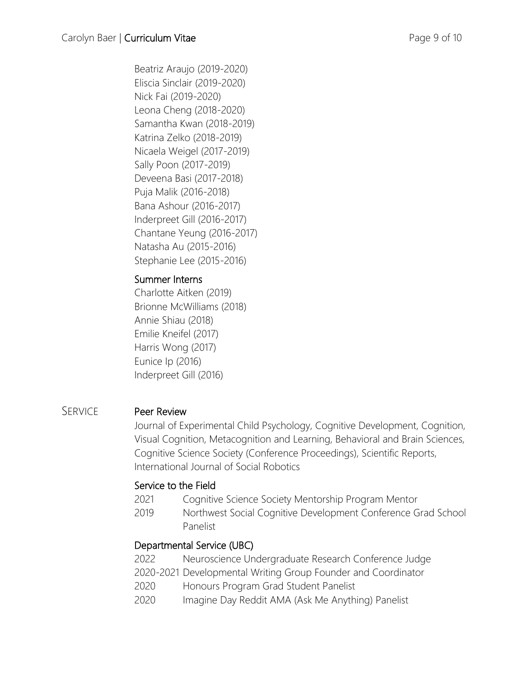Beatriz Araujo (2019-2020) Eliscia Sinclair (2019-2020) Nick Fai (2019-2020) Leona Cheng (2018-2020) Samantha Kwan (2018-2019) Katrina Zelko (2018-2019) Nicaela Weigel (2017-2019) Sally Poon (2017-2019) Deveena Basi (2017-2018) Puja Malik (2016-2018) Bana Ashour (2016-2017) Inderpreet Gill (2016-2017) Chantane Yeung (2016-2017) Natasha Au (2015-2016) Stephanie Lee (2015-2016)

## Summer Interns

Charlotte Aitken (2019) Brionne McWilliams (2018) Annie Shiau (2018) Emilie Kneifel (2017) Harris Wong (2017) Eunice Ip (2016) Inderpreet Gill (2016)

## SERVICE Peer Review

Journal of Experimental Child Psychology, Cognitive Development, Cognition, Visual Cognition, Metacognition and Learning, Behavioral and Brain Sciences, Cognitive Science Society (Conference Proceedings), Scientific Reports, International Journal of Social Robotics

#### Service to the Field

- 2021 Cognitive Science Society Mentorship Program Mentor
- 2019 Northwest Social Cognitive Development Conference Grad School Panelist

## Departmental Service (UBC)

- 2022 Neuroscience Undergraduate Research Conference Judge
- 2020-2021 Developmental Writing Group Founder and Coordinator
- 2020 Honours Program Grad Student Panelist
- 2020 Imagine Day Reddit AMA (Ask Me Anything) Panelist